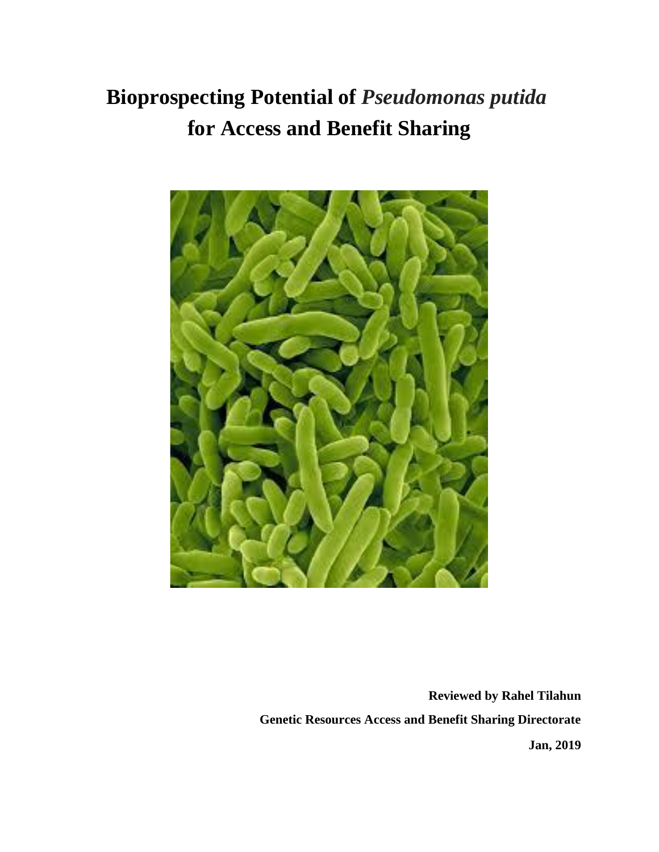# **Bioprospecting Potential of** *Pseudomonas putida* **for Access and Benefit Sharing**



**Reviewed by Rahel Tilahun Genetic Resources Access and Benefit Sharing Directorate Jan, 2019**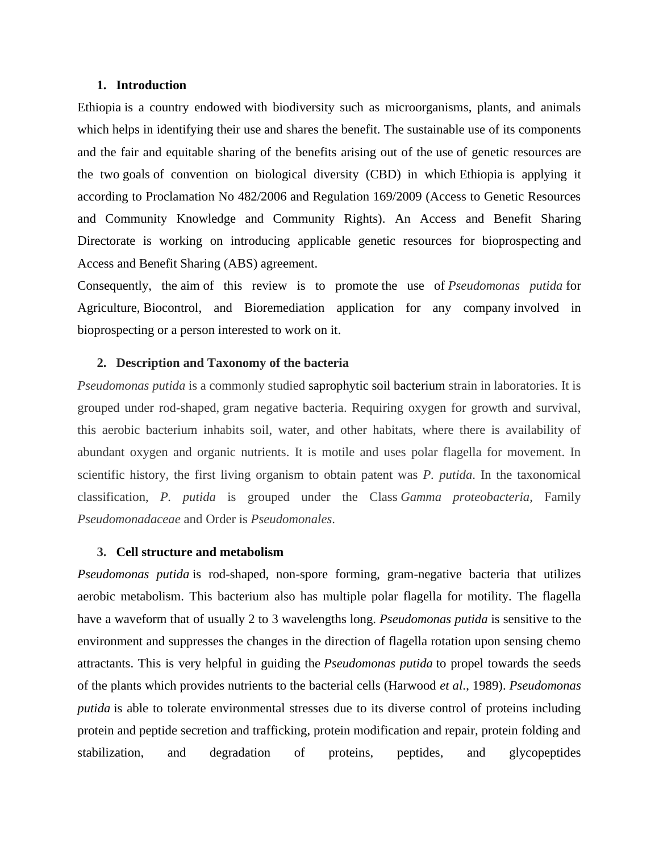## **1. Introduction**

Ethiopia is a country endowed with biodiversity such as microorganisms, plants, and animals which helps in identifying their use and shares the benefit. The sustainable use of its components and the fair and equitable sharing of the benefits arising out of the use of genetic resources are the two goals of convention on biological diversity (CBD) in which Ethiopia is applying it according to Proclamation No 482/2006 and Regulation 169/2009 (Access to Genetic Resources and Community Knowledge and Community Rights). An Access and Benefit Sharing Directorate is working on introducing applicable genetic resources for bioprospecting and Access and Benefit Sharing (ABS) agreement.

Consequently, the aim of this review is to promote the use of *Pseudomonas putida* for Agriculture, Biocontrol, and Bioremediation application for any company involved in bioprospecting or a person interested to work on it.

#### **2. Description and Taxonomy of the bacteria**

*Pseudomonas putida* is a commonly studied saprophytic soil bacterium strain in laboratories. It is grouped under rod-shaped, gram negative bacteria. Requiring oxygen for growth and survival, this aerobic bacterium inhabits soil, water, and other habitats, where there is availability of abundant oxygen and organic nutrients. It is motile and uses polar flagella for movement. In scientific history, the first living organism to obtain patent was *P. putida*. In the taxonomical classification, *P. putida* is grouped under the Class *Gamma proteobacteria*, Family *Pseudomonadaceae* and Order is *Pseudomonales*.

## **3. Cell structure and metabolism**

*Pseudomonas putida* is rod-shaped, non-spore forming, gram-negative bacteria that utilizes aerobic metabolism. This bacterium also has multiple polar flagella for motility. The flagella have a waveform that of usually 2 to 3 wavelengths long. *Pseudomonas putida* is sensitive to the environment and suppresses the changes in the direction of flagella rotation upon sensing chemo attractants. This is very helpful in guiding the *Pseudomonas putida* to propel towards the seeds of the plants which provides nutrients to the bacterial cells (Harwood *et al*., 1989). *Pseudomonas putida* is able to tolerate environmental stresses due to its diverse control of proteins including protein and peptide secretion and trafficking, protein modification and repair, protein folding and stabilization, and degradation of proteins, peptides, and glycopeptides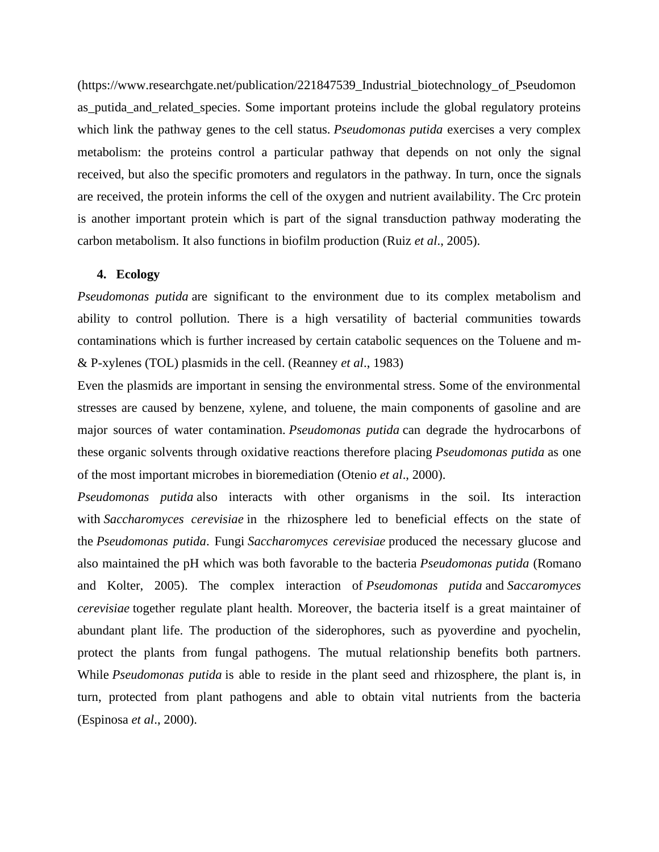(https://www.researchgate.net/publication/221847539\_Industrial\_biotechnology\_of\_Pseudomon as\_putida\_and\_related\_species. Some important proteins include the global regulatory proteins which link the pathway genes to the cell status. *Pseudomonas putida* exercises a very complex metabolism: the proteins control a particular pathway that depends on not only the signal received, but also the specific promoters and regulators in the pathway. In turn, once the signals are received, the protein informs the cell of the oxygen and nutrient availability. The Crc protein is another important protein which is part of the signal transduction pathway moderating the carbon metabolism. It also functions in biofilm production (Ruiz *et al*., 2005).

#### **4. Ecology**

*Pseudomonas putida* are significant to the environment due to its complex metabolism and ability to control pollution. There is a high versatility of bacterial communities towards contaminations which is further increased by certain catabolic sequences on the Toluene and m- & P-xylenes (TOL) plasmids in the cell. (Reanney *et al*., 1983)

Even the plasmids are important in sensing the environmental stress. Some of the environmental stresses are caused by benzene, xylene, and toluene, the main components of gasoline and are major sources of water contamination. *Pseudomonas putida* can degrade the hydrocarbons of these organic solvents through oxidative reactions therefore placing *Pseudomonas putida* as one of the most important microbes in bioremediation (Otenio *et al*., 2000).

*Pseudomonas putida* also interacts with other organisms in the soil. Its interaction with *Saccharomyces cerevisiae* in the rhizosphere led to beneficial effects on the state of the *Pseudomonas putida*. Fungi *Saccharomyces cerevisiae* produced the necessary glucose and also maintained the pH which was both favorable to the bacteria *Pseudomonas putida* (Romano and Kolter, 2005). The complex interaction of *Pseudomonas putida* and *Saccaromyces cerevisiae* together regulate plant health. Moreover, the bacteria itself is a great maintainer of abundant plant life. The production of the siderophores, such as pyoverdine and pyochelin, protect the plants from fungal pathogens. The mutual relationship benefits both partners. While *Pseudomonas putida* is able to reside in the plant seed and rhizosphere, the plant is, in turn, protected from plant pathogens and able to obtain vital nutrients from the bacteria (Espinosa *et al*., 2000).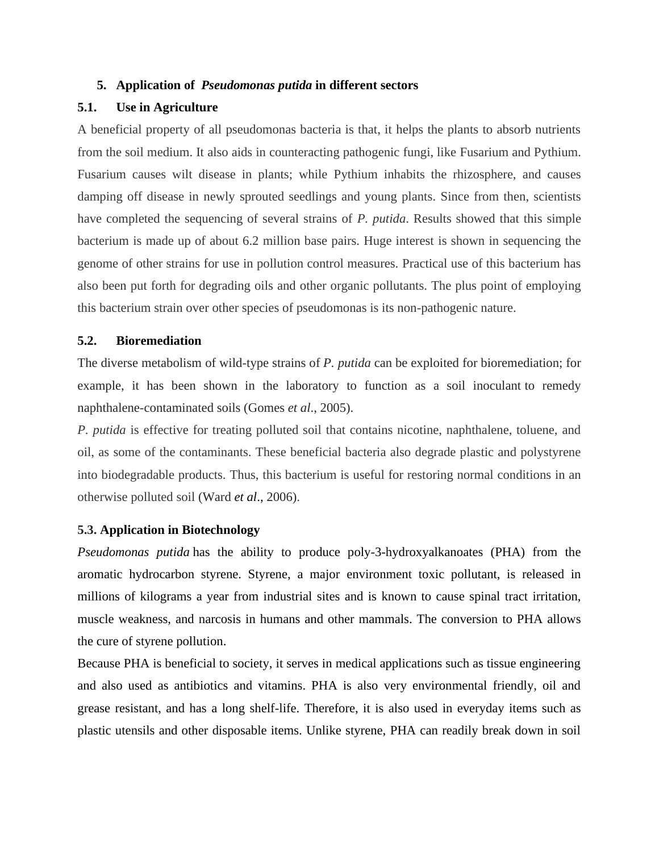## **5. Application of** *Pseudomonas putida* **in different sectors**

## **5.1. Use in Agriculture**

A beneficial property of all pseudomonas bacteria is that, it helps the plants to absorb nutrients from the soil medium. It also aids in counteracting pathogenic fungi, like Fusarium and Pythium. Fusarium causes wilt disease in plants; while Pythium inhabits the rhizosphere, and causes damping off disease in newly sprouted seedlings and young plants. Since from then, scientists have completed the sequencing of several strains of *P. putida*. Results showed that this simple bacterium is made up of about 6.2 million base pairs. Huge interest is shown in sequencing the genome of other strains for use in pollution control measures. Practical use of this bacterium has also been put forth for degrading oils and other organic pollutants. The plus point of employing this bacterium strain over other species of pseudomonas is its non-pathogenic nature.

## **5.2. Bioremediation**

The diverse metabolism of wild-type strains of *P. putida* can be exploited for bioremediation; for example, it has been shown in the laboratory to function as a soil inoculant to remedy naphthalene-contaminated soils (Gomes *et al*., 2005).

*P. putida* is effective for treating polluted soil that contains nicotine, naphthalene, toluene, and oil, as some of the contaminants. These beneficial bacteria also degrade plastic and polystyrene into biodegradable products. Thus, this bacterium is useful for restoring normal conditions in an otherwise polluted soil (Ward *et al*., 2006).

## **5.3. Application in Biotechnology**

*Pseudomonas putida* has the ability to produce poly-3-hydroxyalkanoates (PHA) from the aromatic hydrocarbon styrene. Styrene, a major environment toxic pollutant, is released in millions of kilograms a year from industrial sites and is known to cause spinal tract irritation, muscle weakness, and narcosis in humans and other mammals. The conversion to PHA allows the cure of styrene pollution.

Because PHA is beneficial to society, it serves in medical applications such as tissue engineering and also used as antibiotics and vitamins. PHA is also very environmental friendly, oil and grease resistant, and has a long shelf-life. Therefore, it is also used in everyday items such as plastic utensils and other disposable items. Unlike styrene, PHA can readily break down in soil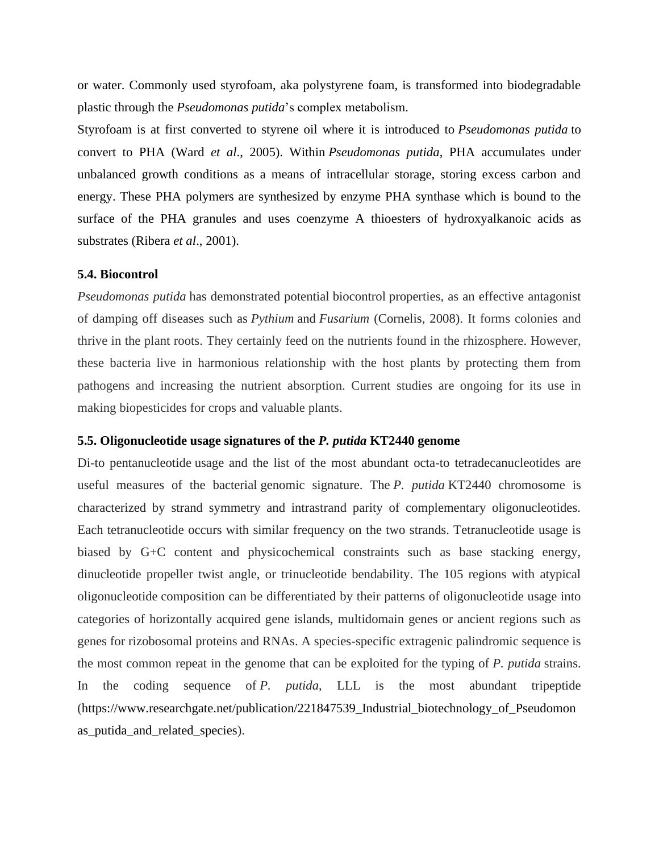or water. Commonly used styrofoam, aka polystyrene foam, is transformed into biodegradable plastic through the *Pseudomonas putida*'s complex metabolism.

Styrofoam is at first converted to styrene oil where it is introduced to *Pseudomonas putida* to convert to PHA (Ward *et al*., 2005). Within *Pseudomonas putida*, PHA accumulates under unbalanced growth conditions as a means of intracellular storage, storing excess carbon and energy. These PHA polymers are synthesized by enzyme PHA synthase which is bound to the surface of the PHA granules and uses coenzyme A thioesters of hydroxyalkanoic acids as substrates (Ribera *et al*., 2001).

#### **5.4. Biocontrol**

*Pseudomonas putida* has demonstrated potential biocontrol properties, as an effective antagonist of damping off diseases such as *Pythium* and *Fusarium* (Cornelis, 2008). It forms colonies and thrive in the plant roots. They certainly feed on the nutrients found in the rhizosphere. However, these bacteria live in harmonious relationship with the host plants by protecting them from pathogens and increasing the nutrient absorption. Current studies are ongoing for its use in making biopesticides for crops and valuable plants.

## **5.5. Oligonucleotide usage signatures of the** *P. putida* **KT2440 genome**

Di-to pentanucleotide usage and the list of the most abundant octa-to tetradecanucleotides are useful measures of the bacterial genomic signature. The *P. putida* KT2440 chromosome is characterized by strand symmetry and intrastrand parity of complementary oligonucleotides. Each tetranucleotide occurs with similar frequency on the two strands. Tetranucleotide usage is biased by G+C content and physicochemical constraints such as base stacking energy, dinucleotide propeller twist angle, or trinucleotide bendability. The 105 regions with atypical oligonucleotide composition can be differentiated by their patterns of oligonucleotide usage into categories of horizontally acquired gene islands, multidomain genes or ancient regions such as genes for rizobosomal proteins and RNAs. A species-specific extragenic palindromic sequence is the most common repeat in the genome that can be exploited for the typing of *P. putida* strains. In the coding sequence of *P. putida*, LLL is the most abundant tripeptide (https://www.researchgate.net/publication/221847539\_Industrial\_biotechnology\_of\_Pseudomon as\_putida\_and\_related\_species).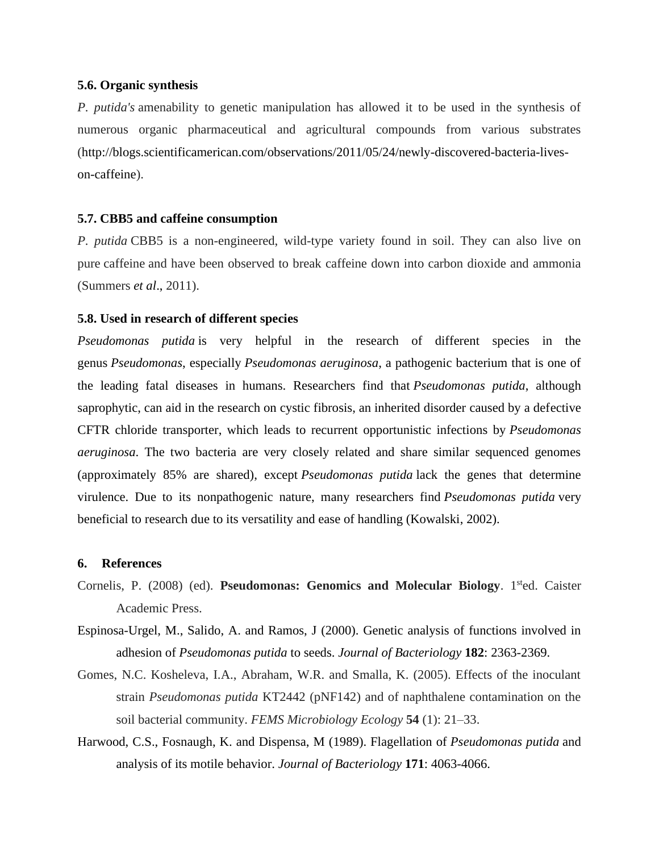#### **5.6. Organic synthesis**

*P. putida's* amenability to genetic manipulation has allowed it to be used in the synthesis of numerous organic pharmaceutical and agricultural compounds from various substrates (http://blogs.scientificamerican.com/observations/2011/05/24/newly-discovered-bacteria-liveson-caffeine).

## **5.7. CBB5 and caffeine consumption**

*P. putida* CBB5 is a non-engineered, wild-type variety found in soil. They can also live on pure caffeine and have been observed to break caffeine down into carbon dioxide and ammonia (Summers *et al*., 2011).

## **5.8. Used in research of different species**

*Pseudomonas putida* is very helpful in the research of different species in the genus *Pseudomonas*, especially *Pseudomonas aeruginosa*, a pathogenic bacterium that is one of the leading fatal diseases in humans. Researchers find that *Pseudomonas putida*, although saprophytic, can aid in the research on cystic fibrosis, an inherited disorder caused by a defective CFTR chloride transporter, which leads to recurrent opportunistic infections by *Pseudomonas aeruginosa*. The two bacteria are very closely related and share similar sequenced genomes (approximately 85% are shared), except *Pseudomonas putida* lack the genes that determine virulence. Due to its nonpathogenic nature, many researchers find *Pseudomonas putida* very beneficial to research due to its versatility and ease of handling (Kowalski, 2002).

#### **6. References**

- Cornelis, P. (2008) (ed). **Pseudomonas: Genomics and Molecular Biology**. 1<sup>st</sup>ed. Caister Academic Press.
- Espinosa-Urgel, M., Salido, A. and Ramos, J (2000). Genetic analysis of functions involved in adhesion of *Pseudomonas putida* to seeds. *Journal of Bacteriology* **182**: 2363-2369.
- Gomes, N.C. Kosheleva, I.A., Abraham, W.R. and Smalla, K. (2005). Effects of the inoculant strain *Pseudomonas putida* KT2442 (pNF142) and of naphthalene contamination on the soil bacterial community. *FEMS Microbiology Ecology* **54** (1): 21–33.
- Harwood, C.S., Fosnaugh, K. and Dispensa, M (1989). Flagellation of *Pseudomonas putida* and analysis of its motile behavior. *Journal of Bacteriology* **171**: 4063-4066.